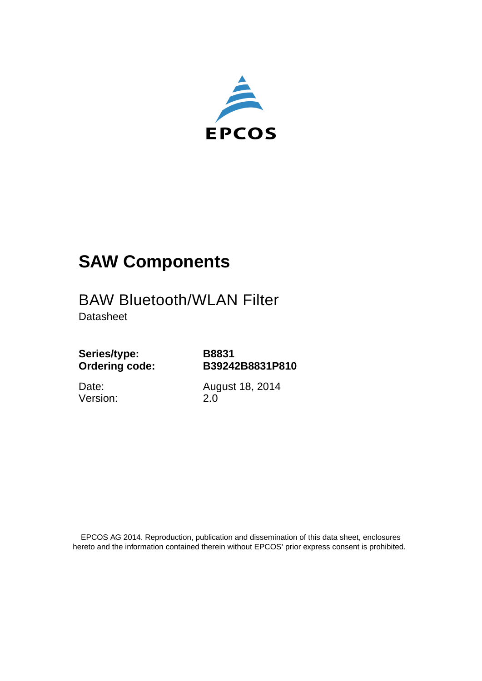

# **SAW Components**

## BAW Bluetooth/WLAN Filter

**Datasheet** 

**Series/type: Ordering code:**

**B8831 B39242B8831P810**

Date: Version: August 18, 2014 2.0

 EPCOS AG 2014. Reproduction, publication and dissemination of this data sheet, enclosures hereto and the information contained therein without EPCOS' prior express consent is prohibited.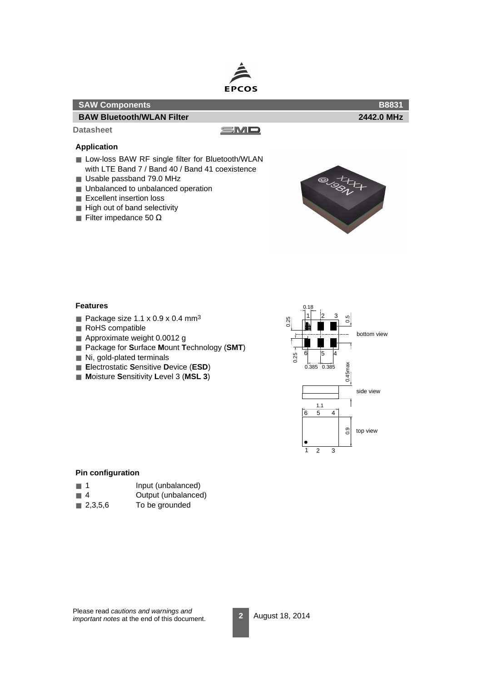

| <b>SAW Components</b>                                                                                                                                                                                                                                          |     | <b>B8831</b>                    |
|----------------------------------------------------------------------------------------------------------------------------------------------------------------------------------------------------------------------------------------------------------------|-----|---------------------------------|
| <b>BAW Bluetooth/WLAN Filter</b>                                                                                                                                                                                                                               |     | 2442.0 MHz                      |
| <b>Datasheet</b>                                                                                                                                                                                                                                               | SMO |                                 |
| <b>Application</b>                                                                                                                                                                                                                                             |     |                                 |
| Low-loss BAW RF single filter for Bluetooth/WLAN<br>with LTE Band 7 / Band 40 / Band 41 coexistence<br>Usable passband 79.0 MHz<br>■ Unbalanced to unbalanced operation<br>Excellent insertion loss<br>High out of band selectivity<br>■ Filter impedance 50 Ω |     | $\omega_{\mathcal{O}_{\infty}}$ |

#### **Features**

I

- Package size  $1.1 \times 0.9 \times 0.4$  mm<sup>3</sup>
- RoHS compatible
- Approximate weight 0.0012 g
- Package for **S**urface **M**ount **T**echnology (**SMT**)
- Ni, gold-plated terminals
- **E**lectrostatic **S**ensitive **D**evice (**ESD**)
- **Moisture Sensitivity Level 3 (MSL 3)**



#### **Pin configuration**

- 1 Input (unbalanced)
- 4 Output (unbalanced)
- 2,3,5,6 To be grounded

Please read cautions and warnings and important notes at the end of this document.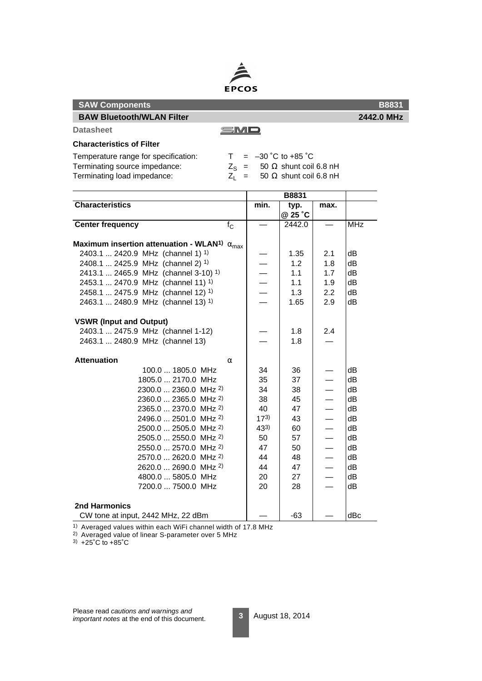

| <b>SAW Components</b>                                                    |                          |                               |                          | <b>B8831</b> |
|--------------------------------------------------------------------------|--------------------------|-------------------------------|--------------------------|--------------|
| <b>BAW Bluetooth/WLAN Filter</b>                                         |                          |                               |                          | 2442.0 MHz   |
| <b>Datasheet</b><br>SMO                                                  |                          |                               |                          |              |
| <b>Characteristics of Filter</b>                                         |                          |                               |                          |              |
| Temperature range for specification:<br>T.                               | $= -30$ °C to +85 °C     |                               |                          |              |
| Terminating source impedance:<br>$Z_{\rm S}$ =                           |                          | 50 $\Omega$ shunt coil 6.8 nH |                          |              |
| Terminating load impedance:                                              | $Z_1 =$                  | 50 $\Omega$ shunt coil 6.8 nH |                          |              |
|                                                                          |                          |                               |                          |              |
|                                                                          |                          | <b>B8831</b>                  |                          |              |
| <b>Characteristics</b>                                                   | min.                     | typ.<br>@ 25 °C               | max.                     |              |
| <b>Center frequency</b><br>$f_{\rm C}$                                   |                          | 2442.0                        |                          | <b>MHz</b>   |
| Maximum insertion attenuation - WLAN <sup>1)</sup> $\alpha_{\text{max}}$ |                          |                               |                          |              |
| 2403.1  2420.9 MHz (channel 1) <sup>1)</sup>                             |                          | 1.35                          | 2.1                      | dВ           |
| 2408.1  2425.9 MHz (channel 2) <sup>1)</sup>                             |                          | 1.2                           | 1.8                      | dB           |
| 2413.1  2465.9 MHz (channel 3-10) <sup>1)</sup>                          | $\overline{\phantom{0}}$ | 1.1                           | 1.7                      | dB           |
| 2453.1  2470.9 MHz (channel 11) <sup>1)</sup>                            | $\equiv$                 | 1.1                           | 1.9                      | dВ           |
| 2458.1  2475.9 MHz (channel 12) <sup>1)</sup>                            |                          | 1.3                           | $2.2\,$                  | dB           |
| 2463.1  2480.9 MHz (channel 13) 1)                                       |                          | 1.65                          | 2.9                      | dВ           |
| <b>VSWR (Input and Output)</b>                                           |                          |                               |                          |              |
| 2403.1  2475.9 MHz (channel 1-12)                                        |                          | 1.8                           | 2.4                      |              |
| 2463.1  2480.9 MHz (channel 13)                                          |                          | 1.8                           |                          |              |
| <b>Attenuation</b><br>α                                                  |                          |                               |                          |              |
| 100.0  1805.0 MHz                                                        | 34                       | 36                            |                          | dB           |
| 1805.0  2170.0 MHz                                                       | 35                       | 37                            |                          | dВ           |
| 2300.0  2360.0 MHz <sup>2)</sup>                                         | 34                       | 38                            | $\overline{\phantom{0}}$ | dВ           |
| 2360.0  2365.0 MHz <sup>2)</sup>                                         | 38                       | 45                            |                          | dB           |
| 2365.0  2370.0 MHz 2)                                                    | 40                       | 47                            |                          | dВ           |
| 2496.0  2501.0 MHz <sup>2)</sup>                                         | $17^{3}$                 | 43                            | $\overline{\phantom{0}}$ | dB           |
| 2500.0  2505.0 MHz 2)                                                    | $43^{3}$                 | 60                            | $\overline{\phantom{0}}$ | dВ           |
| 2505.0  2550.0 MHz <sup>2)</sup>                                         | 50                       | 57                            |                          | dB           |
| 2550.0  2570.0 MHz <sup>2)</sup>                                         | 47                       | 50                            |                          | dB           |
| 2570.0  2620.0 MHz <sup>2)</sup>                                         | 44                       | 48                            | $\overline{\phantom{0}}$ | dB           |
| 2620.0  2690.0 MHz <sup>2)</sup>                                         | 44                       | 47                            |                          | dВ           |
| 4800.0  5805.0 MHz                                                       | 20                       | 27                            |                          | dB           |
| 7200.0  7500.0 MHz                                                       | 20                       | 28                            | $\overline{\phantom{0}}$ | dВ           |
| <b>2nd Harmonics</b>                                                     |                          |                               |                          |              |
| CW tone at input, 2442 MHz, 22 dBm                                       |                          | -63                           |                          | dBc          |

<sup>2)</sup> Averaged value of linear S-parameter over 5 MHz 3) +25˚C to +85˚C

Please read cautions and warnings and important notes at the end of this document.

1) Averaged values within each WiFi channel width of 17.8 MHz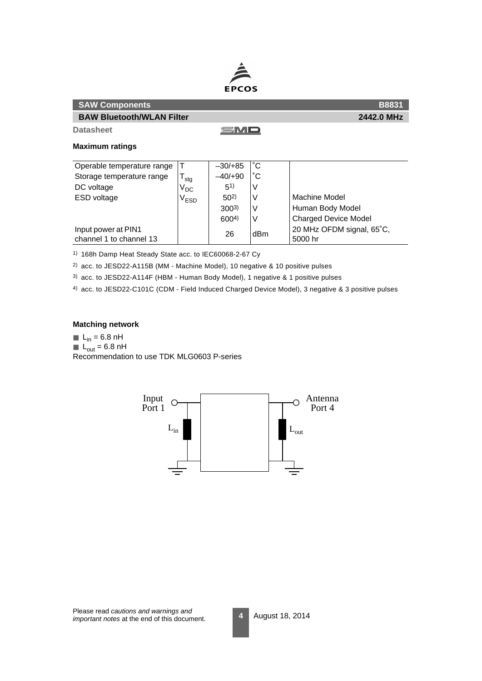

| <b>SAW Components</b>            |           |  | <b>B8831</b> |
|----------------------------------|-----------|--|--------------|
| <b>BAW Bluetooth/WLAN Filter</b> |           |  | 2442.0 MHz   |
| <b>Datasheet</b>                 | SMD       |  |              |
| <b>Maximum ratings</b>           |           |  |              |
| Operable temperature range       | $-30/+85$ |  |              |

| Operable temperature range |                             | <u>JULIUJ</u>    | ັ               |                             |
|----------------------------|-----------------------------|------------------|-----------------|-----------------------------|
| Storage temperature range  | stg                         | $-40/+90$        |                 |                             |
| DC voltage                 | $\rm V_{DC}$                | (51)             | ν               |                             |
| ESD voltage                | $\mathsf{V}_{\mathsf{ESD}}$ | $50^{2}$         | ν               | Machine Model               |
|                            |                             | $300^{3}$        | V               | Human Body Model            |
|                            |                             | 600 <sup>4</sup> |                 | <b>Charged Device Model</b> |
| Input power at PIN1        |                             | 26               | dB <sub>m</sub> | 20 MHz OFDM signal, 65°C,   |
| channel 1 to channel 13    |                             |                  |                 | 5000 hr                     |

1) 168h Damp Heat Steady State acc. to IEC60068-2-67 Cy

2) acc. to JESD22-A115B (MM - Machine Model), 10 negative & 10 positive pulses

3) acc. to JESD22-A114F (HBM - Human Body Model), 1 negative & 1 positive pulses

4) acc. to JESD22-C101C (CDM - Field Induced Charged Device Model), 3 negative & 3 positive pulses

#### **Matching network**

 $L_{in} = 6.8$  nH

 $L_{\text{out}} = 6.8 \text{ nH}$ 

Recommendation to use TDK MLG0603 P-series

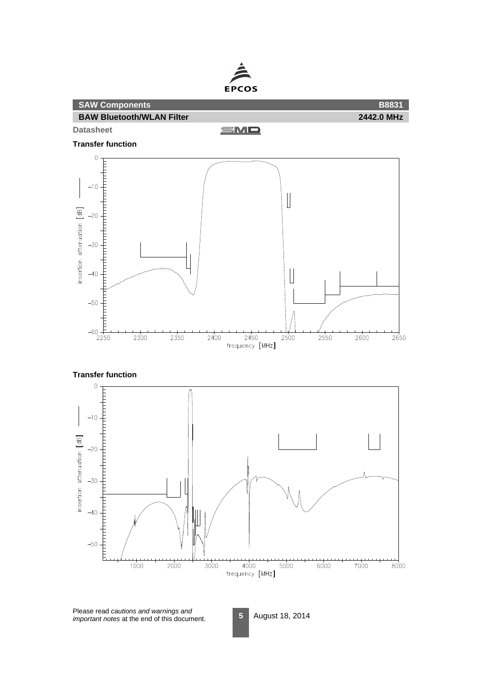

Please read cautions and warnings and important notes at the end of this document.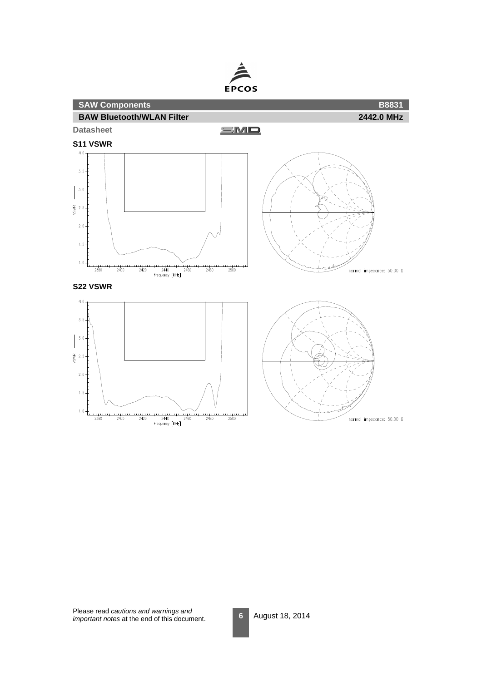



Please read cautions and warnings and important notes at the end of this document.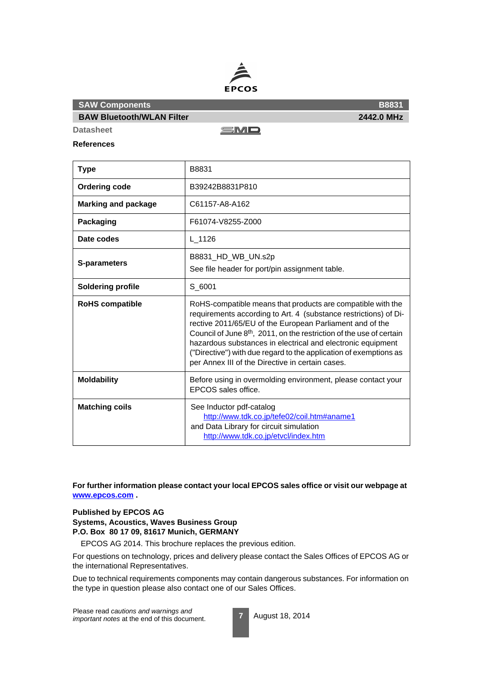

**BAW Bluetooth/WLAN Filter**

SMD

**Datasheet References**

| <b>Type</b>                | B8831                                                                                                                                                                                                                                                                                                                                                                                                                                                      |
|----------------------------|------------------------------------------------------------------------------------------------------------------------------------------------------------------------------------------------------------------------------------------------------------------------------------------------------------------------------------------------------------------------------------------------------------------------------------------------------------|
| <b>Ordering code</b>       | B39242B8831P810                                                                                                                                                                                                                                                                                                                                                                                                                                            |
| <b>Marking and package</b> | C61157-A8-A162                                                                                                                                                                                                                                                                                                                                                                                                                                             |
| Packaging                  | F61074-V8255-Z000                                                                                                                                                                                                                                                                                                                                                                                                                                          |
| Date codes                 | L 1126                                                                                                                                                                                                                                                                                                                                                                                                                                                     |
| <b>S-parameters</b>        | B8831_HD_WB_UN.s2p<br>See file header for port/pin assignment table.                                                                                                                                                                                                                                                                                                                                                                                       |
| <b>Soldering profile</b>   | S 6001                                                                                                                                                                                                                                                                                                                                                                                                                                                     |
| <b>RoHS</b> compatible     | RoHS-compatible means that products are compatible with the<br>requirements according to Art. 4 (substance restrictions) of Di-<br>rective 2011/65/EU of the European Parliament and of the<br>Council of June 8th, 2011, on the restriction of the use of certain<br>hazardous substances in electrical and electronic equipment<br>("Directive") with due regard to the application of exemptions as<br>per Annex III of the Directive in certain cases. |
| <b>Moldability</b>         | Before using in overmolding environment, please contact your<br>EPCOS sales office.                                                                                                                                                                                                                                                                                                                                                                        |
| <b>Matching coils</b>      | See Inductor pdf-catalog<br>http://www.tdk.co.jp/tefe02/coil.htm#aname1<br>and Data Library for circuit simulation<br>http://www.tdk.co.jp/etvcl/index.htm                                                                                                                                                                                                                                                                                                 |

**For further information please contact your local EPCOS sales office or visit our webpage at www.epcos.com .**

### **Published by EPCOS AG**

**Systems, Acoustics, Waves Business Group P.O. Box 80 17 09, 81617 Munich, GERMANY**

EPCOS AG 2014. This brochure replaces the previous edition.

For questions on technology, prices and delivery please contact the Sales Offices of EPCOS AG or the international Representatives.

Due to technical requirements components may contain dangerous substances. For information on the type in question please also contact one of our Sales Offices.

Please read cautions and warnings and important notes at the end of this document.